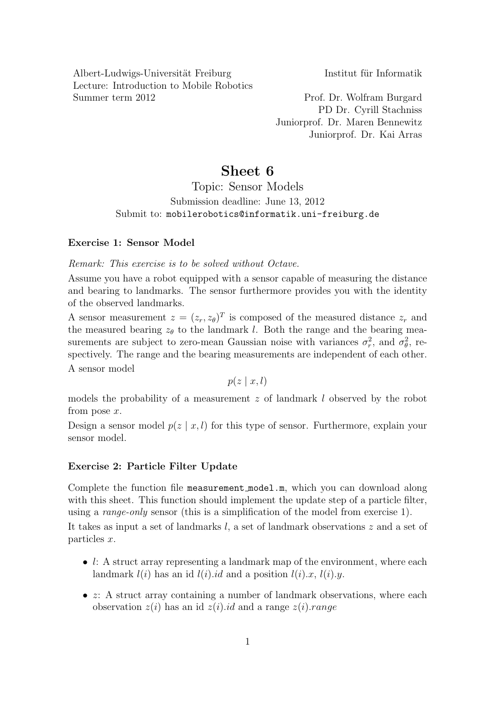Albert-Ludwigs-Universität Freiburg Institut für Informatik Lecture: Introduction to Mobile Robotics Summer term 2012 Prof. Dr. Wolfram Burgard

PD Dr. Cyrill Stachniss Juniorprof. Dr. Maren Bennewitz Juniorprof. Dr. Kai Arras

## Sheet 6

Topic: Sensor Models Submission deadline: June 13, 2012 Submit to: mobilerobotics@informatik.uni-freiburg.de

## Exercise 1: Sensor Model

Remark: This exercise is to be solved without Octave.

Assume you have a robot equipped with a sensor capable of measuring the distance and bearing to landmarks. The sensor furthermore provides you with the identity of the observed landmarks.

A sensor measurement  $z = (z_r, z_\theta)^T$  is composed of the measured distance  $z_r$  and the measured bearing  $z_{\theta}$  to the landmark l. Both the range and the bearing measurements are subject to zero-mean Gaussian noise with variances  $\sigma_r^2$ , and  $\sigma_\theta^2$ , respectively. The range and the bearing measurements are independent of each other. A sensor model

 $p(z \mid x, l)$ 

models the probability of a measurement z of landmark l observed by the robot from pose  $x$ .

Design a sensor model  $p(z | x, l)$  for this type of sensor. Furthermore, explain your sensor model.

## Exercise 2: Particle Filter Update

Complete the function file measurement model.m, which you can download along with this sheet. This function should implement the update step of a particle filter, using a range-only sensor (this is a simplification of the model from exercise 1).

It takes as input a set of landmarks l, a set of landmark observations z and a set of particles x.

- $l: A$  struct array representing a landmark map of the environment, where each landmark  $l(i)$  has an id  $l(i)$ .id and a position  $l(i)$ .x,  $l(i)$ .y.
- $z$ : A struct array containing a number of landmark observations, where each observation  $z(i)$  has an id  $z(i)$  id and a range  $z(i)$ . range